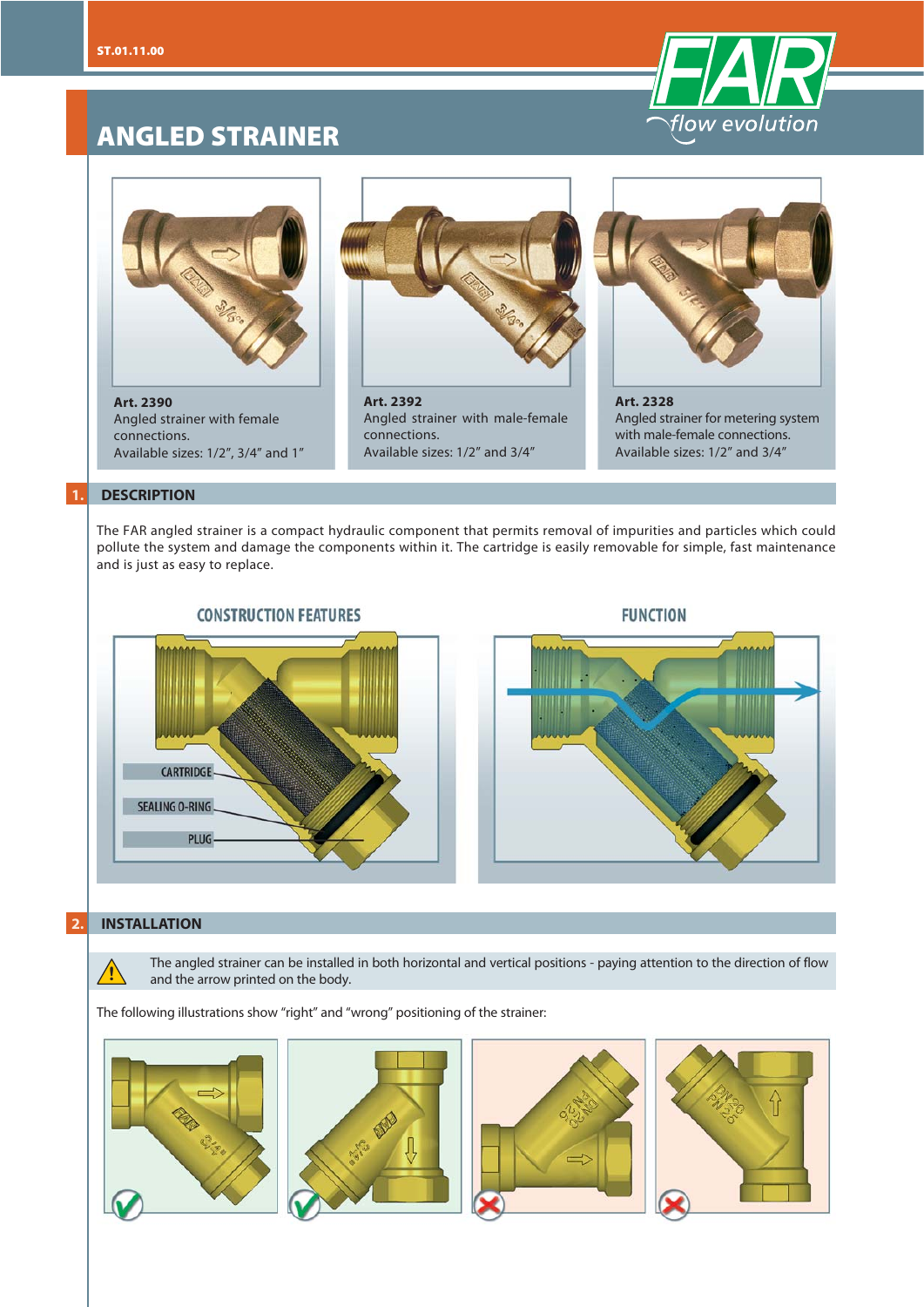

# **ANGLED STRAINER**



**Art. 2390** Angled strainer with female connections. Available sizes: 1/2", 3/4" and 1"



Angled strainer with male-female connections. Available sizes: 1/2" and 3/4"



**Art. 2328** Angled strainer for metering system with male-female connections. Available sizes: 1/2" and 3/4"

#### **1. DESCRIPTION**

The FAR angled strainer is a compact hydraulic component that permits removal of impurities and particles which could pollute the system and damage the components within it. The cartridge is easily removable for simple, fast maintenance and is just as easy to replace.



#### **FUNCTION**



#### **2. INSTALLATION**

**!**

The angled strainer can be installed in both horizontal and vertical positions - paying attention to the direction of flow and the arrow printed on the body.

The following illustrations show "right" and "wrong" positioning of the strainer: